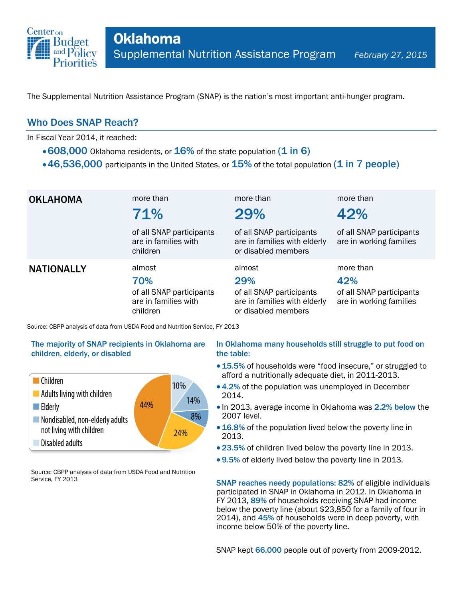

The Supplemental Nutrition Assistance Program (SNAP) is the nation's most important anti-hunger program.

## Who Does SNAP Reach?

In Fiscal Year 2014, it reached:

- $\cdot$  608,000 Oklahoma residents, or  $16\%$  of the state population (1 in 6)
- $\cdot$  46,536,000 participants in the United States, or  $15\%$  of the total population (1 in 7 people)

| <b>OKLAHOMA</b>   | more than<br>71%<br>of all SNAP participants<br>are in families with          | more than<br>29%<br>of all SNAP participants<br>are in families with elderly                     | more than<br>42%<br>of all SNAP participants<br>are in working families |
|-------------------|-------------------------------------------------------------------------------|--------------------------------------------------------------------------------------------------|-------------------------------------------------------------------------|
|                   | children                                                                      | or disabled members                                                                              |                                                                         |
| <b>NATIONALLY</b> | almost<br>70%<br>of all SNAP participants<br>are in families with<br>children | almost<br>29%<br>of all SNAP participants<br>are in families with elderly<br>or disabled members | more than<br>42%<br>of all SNAP participants<br>are in working families |

Source: CBPP analysis of data from USDA Food and Nutrition Service, FY 2013

### The majority of SNAP recipients in Oklahoma are children, elderly, or disabled



Source: CBPP analysis of data from USDA Food and Nutrition Service, FY 2013

#### In Oklahoma many households still struggle to put food on the table:

- 15.5% of households were "food insecure," or struggled to afford a nutritionally adequate diet, in 2011-2013.
- 4.2% of the population was unemployed in December 2014.
- In 2013, average income in Oklahoma was 2.2% below the 2007 level.
- 16.8% of the population lived below the poverty line in 2013.
- 23.5% of children lived below the poverty line in 2013.
- 9.5% of elderly lived below the poverty line in 2013.

SNAP reaches needy populations: 82% of eligible individuals participated in SNAP in Oklahoma in 2012. In Oklahoma in FY 2013, 89% of households receiving SNAP had income below the poverty line (about \$23,850 for a family of four in 2014), and 45% of households were in deep poverty, with income below 50% of the poverty line.

SNAP kept 66,000 people out of poverty from 2009-2012.